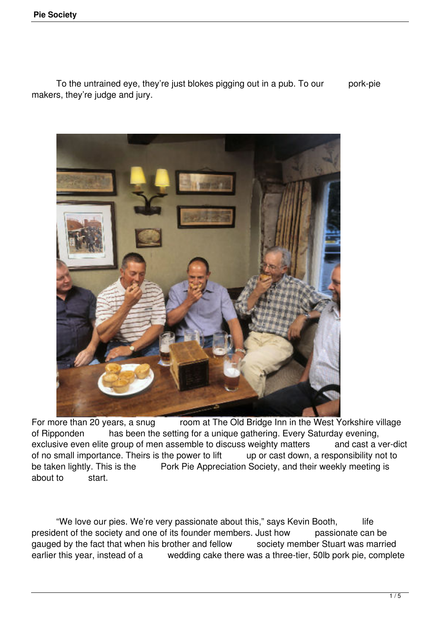To the untrained eye, they're just blokes pigging out in a pub. To our pork-pie makers, they're judge and jury.



For more than 20 years, a snug room at The Old Bridge Inn in the West Yorkshire village of Ripponden has been the setting for a unique gathering. Every Saturday evening, exclusive even elite group of men assemble to discuss weighty matters and cast a ver-dict of no small importance. Theirs is the power to lift up or cast down, a responsibility not to be taken lightly. This is the Pork Pie Appreciation Society, and their weekly meeting is about to start.

"We love our pies. We're very passionate about this," says Kevin Booth, life president of the society and one of its founder members. Just how passionate can be gauged by the fact that when his brother and fellow society member Stuart was married earlier this year, instead of a wedding cake there was a three-tier, 50lb pork pie, complete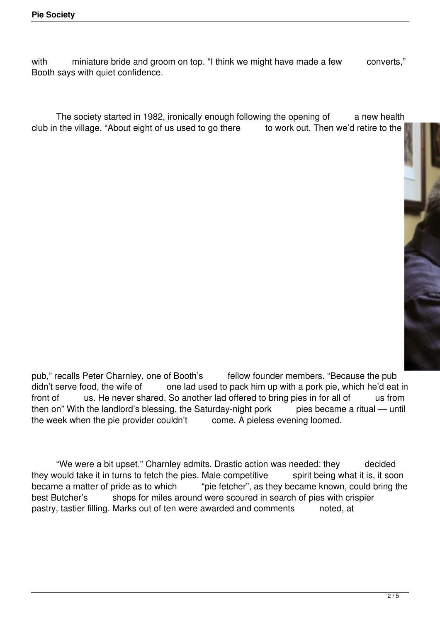with miniature bride and groom on top. "I think we might have made a few converts," Booth says with quiet confidence.

The society started in 1982, ironically enough following the opening of a new health it the village. "About eight of us used to go there to work out. Then we'd retire to the club in the village. "About eight of us used to go there



pub," recalls Peter Charnley, one of Booth's fellow founder members. "Because the pub didn't serve food, the wife of one lad used to pack him up with a pork pie, which he'd eat in front of us. He never shared. So another lad offered to bring pies in for all of us from then on" With the landlord's blessing, the Saturday-night pork pies became a ritual — until the week when the pie provider couldn't come. A pieless evening loomed.

"We were a bit upset," Charnley admits. Drastic action was needed: they decided they would take it in turns to fetch the pies. Male competitive spirit being what it is, it soon became a matter of pride as to which "pie fetcher", as they became known, could bring the best Butcher's shops for miles around were scoured in search of pies with crispier pastry, tastier filling. Marks out of ten were awarded and comments noted, at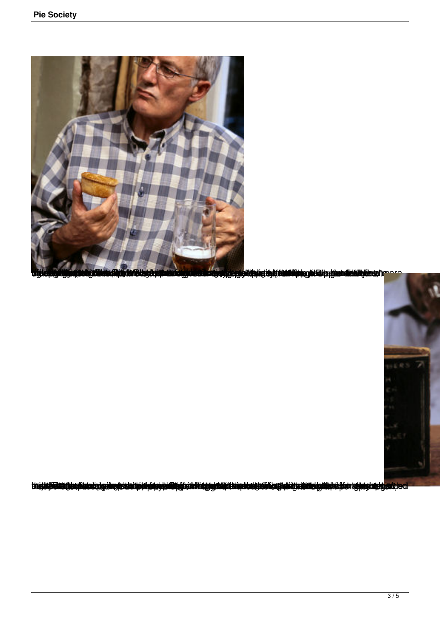



says Booth, who is renowned for being able to recognise an individual pie maker's handiwork after a single bite. Before anyone thinks this is just an excuse for a bunch of middle-aged men to sit in a pub drinking beer and scoffing pies, it should be pointed out that the society is now acknowledged in pork-pie circles as one of the foremost authorities. Its annual pork-pie championship, which takes place in spring, attracts around 50 independent butchers and pie makers from the North and Midlands. It's so highly regarded that even a placing in it can make a huge difference to the entrants. "Business can double," says Simon Haigh of Hinchilife's Farm Shop in Netherton, Huddersfield three time championship winner and the maker of the giant pork pie for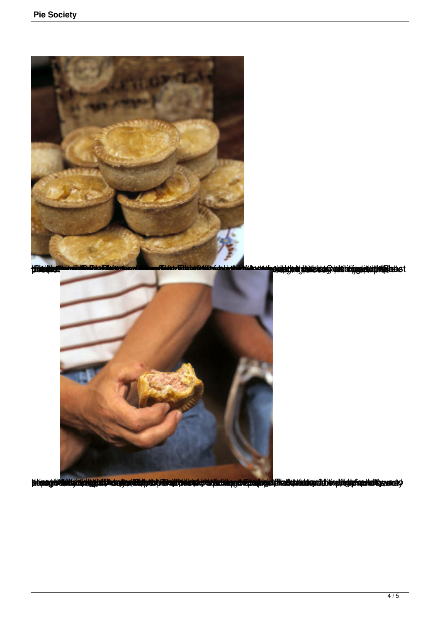

d tenagit töötte sainla millistekeste siitetet kiduselt tehese kotte isteen midaalekse elia total teheste teheste tike eeroto

Stuart and Jo Booth's wedding. There are, he says, other pork-pie competitions, not least the National Pork Pie Championships run by the Meat and Livestock .Commission. "But this is probably more important They're pie lovers, not from the industry. It's the bestone to win." So what constitutes a good pork pie? For a start, it must come from a traditional butcher's rather than a supermarket. Ideally, it should be eaten the day it's cooked. While it is possible to "boost" an older pie by warming it in the oven, that's something pork-pie purists regard in the same light as an athlete taking steroids. Then there's appearance. A pie should have straight or bulging sides (pork pies should